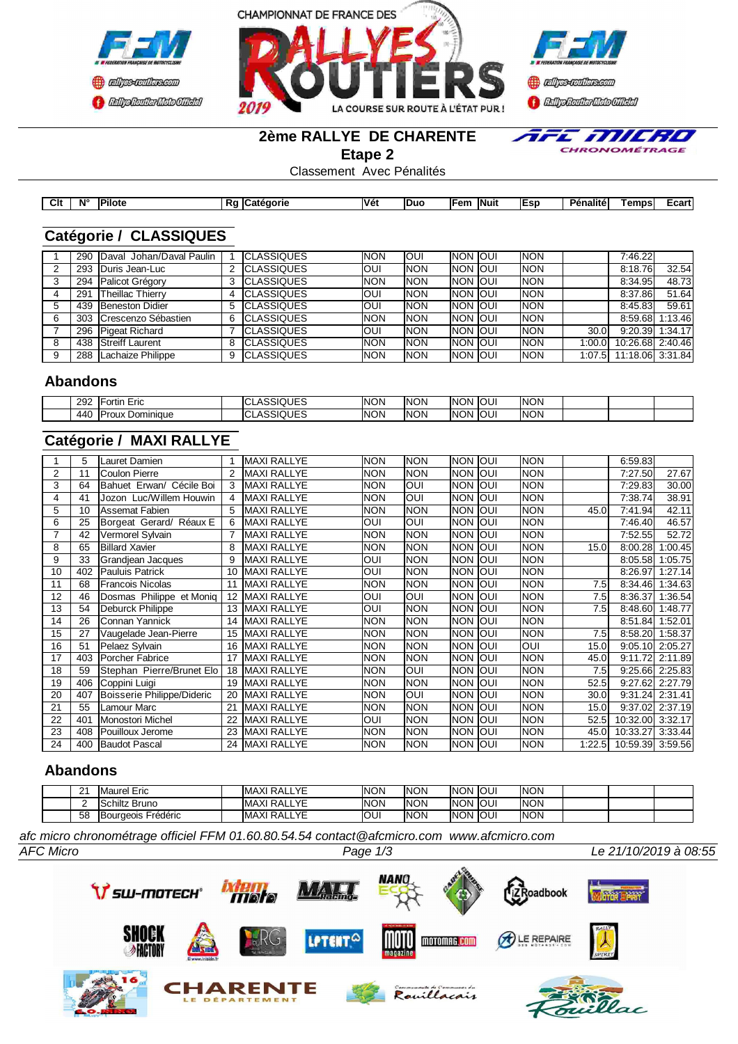





#### **2ème RALLYE DE CHARENTE**

**Etape 2**

E MILHO  $\overline{\phantom{a}}$ CHRONOMÉTRAGE

Classement Avec Pénalités

| Clt | $N^{\circ}$ | <b>Pilote</b> | πι<br>$\sim$ | eaorie<br>…ate∽ | <b>Véi</b> | <b>IDuc</b> | ⊺en. | <b>INuit</b> | lEsp | $\cdots$<br>Dan<br>enalite' | Temps | ∟cart′ |
|-----|-------------|---------------|--------------|-----------------|------------|-------------|------|--------------|------|-----------------------------|-------|--------|

### **Catégorie / CLASSIQUES**

|   |     | 290 Daval Johan/Daval Paulin |   | <b>ICLASSIQUES</b> | <b>NON</b> | <b>OUI</b> | <b>INON JOUL</b> | <b>INON</b> |        | 7:46.22                 |                 |
|---|-----|------------------------------|---|--------------------|------------|------------|------------------|-------------|--------|-------------------------|-----------------|
|   | 293 | Duris Jean-Luc               |   | <b>ICLASSIQUES</b> | <b>OUI</b> | <b>NON</b> | <b>INON JOUL</b> | <b>INON</b> |        | 8:18.76                 | 32.54           |
|   | 294 | Palicot Grégory              |   | <b>ICLASSIQUES</b> | <b>NON</b> | <b>NON</b> | <b>INON JOUL</b> | <b>INON</b> |        | 8:34.95                 | 48.73           |
|   | 291 | Theillac Thierry             |   | <b>ICLASSIQUES</b> | <b>OUI</b> | <b>NON</b> | <b>INON JOUL</b> | <b>INON</b> |        | 8:37.86                 | 51.64           |
|   | 439 | Beneston Didier              |   | <b>ICLASSIQUES</b> | <b>OUI</b> | <b>NON</b> | <b>INON JOUI</b> | <b>INON</b> |        | 8:45.83                 | 59.61           |
| 6 |     | 303 Crescenzo Sébastien      | 6 | <b>CLASSIQUES</b>  | <b>NON</b> | <b>NON</b> | <b>INON JOUL</b> | <b>INON</b> |        |                         | 8:59.68 1:13.46 |
|   |     | 296 Pigeat Richard           |   | <b>ICLASSIQUES</b> | <b>OUI</b> | <b>NON</b> | <b>INON JOUL</b> | <b>INON</b> | 30.0I  |                         | 9:20.39 1:34.17 |
|   |     | 438 Streiff Laurent          |   | <b>CLASSIQUES</b>  | <b>NON</b> | <b>NON</b> | <b>INON JOUI</b> | <b>INON</b> | 1:00.0 | 10:26.68 2:40.46        |                 |
| 9 | 288 | Lachaize Philippe            |   | <b>CLASSIQUES</b>  | <b>NON</b> | <b>NON</b> | <b>INON JOUI</b> | <b>NON</b>  |        | 1:07.5 11:18.06 3:31.84 |                 |

#### **Abandons**

| י ה<br>292 | ے دو سا<br>ortır<br>EIIG  | UES<br>$\sim$<br>- | <b>NON</b> | <b>NON</b> | INON        | lou! | <b>INON</b> |  |  |
|------------|---------------------------|--------------------|------------|------------|-------------|------|-------------|--|--|
| 440        | Dominique<br>$\mathbf{a}$ | …⊔F≦<br>$\sim$     | <b>NON</b> | <b>NON</b> | <b>INON</b> | lou! | <b>INON</b> |  |  |

# **Catégorie / MAXI RALLYE**

|                | 5   | Lauret Damien              |    | <b>MAXI RALLYE</b> | <b>NON</b> | <b>NON</b> | Inon        | loui       | <b>NON</b> |       | 6:59.83                 |                   |
|----------------|-----|----------------------------|----|--------------------|------------|------------|-------------|------------|------------|-------|-------------------------|-------------------|
| $\overline{2}$ | 11  | <b>ICoulon Pierre</b>      |    | <b>MAXI RALLYE</b> | <b>NON</b> | <b>NON</b> | INON.       | loui       | <b>NON</b> |       | 7:27.50                 | 27.67             |
| 3              | 64  | Bahuet Erwan/ Cécile Boi   | 3  | MAXI RALLYE        | <b>NON</b> | <b>OUI</b> | Inon Ioui   |            | <b>NON</b> |       | 7:29.83                 | 30.00             |
| 4              | 41  | Jozon Luc/Willem Houwin    |    | <b>MAXI RALLYE</b> | <b>NON</b> | <b>OUI</b> | Inon Ioui   |            | <b>NON</b> |       | 7:38.74                 | 38.91             |
| 5              | 10  | Assemat Fabien             |    | MAXI RALLYE        | <b>NON</b> | <b>NON</b> | Inon Ioui   |            | <b>NON</b> | 45.0  | 7:41.94                 | 42.11             |
| 6              | 25  | Borgeat Gerard/ Réaux E    |    | <b>MAXI RALLYE</b> | OUI        | <b>OUI</b> | Inon Ioui   |            | <b>NON</b> |       | 7:46.40                 | 46.57             |
|                | 42  | Vermorel Sylvain           |    | <b>MAXI RALLYE</b> | <b>NON</b> | <b>NON</b> | Inon        | loui       | <b>NON</b> |       | 7:52.55                 | 52.72             |
| 8              | 65  | <b>Billard Xavier</b>      | 8  | <b>MAXI RALLYE</b> | <b>NON</b> | <b>NON</b> | <b>NON</b>  | loui       | <b>NON</b> | 15.0  | 8:00.28                 | 1:00.45           |
| 9              | 33  | Grandiean Jacques          | 9  | <b>MAXI RALLYE</b> | OUI        | <b>NON</b> | Inon        | <b>OUI</b> | <b>NON</b> |       | 8:05.58                 | 1:05.75           |
| 10             | 402 | <b>Pauluis Patrick</b>     | 10 | <b>MAXI RALLYE</b> | OUI        | <b>NON</b> | <b>NON</b>  | loui       | <b>NON</b> |       | 8:26.97                 | 1:27.14           |
| 11             | 68  | lFrancois Nicolas          |    | <b>MAXI RALLYE</b> | <b>NON</b> | <b>NON</b> | <b>NON</b>  | loui       | <b>NON</b> | 7.5   | 8:34.46                 | 1:34.63           |
| 12             | 46  | Dosmas Philippe et Moniq   | 12 | <b>MAXI RALLYE</b> | OUI        | <b>OUI</b> | INON        | loui       | <b>NON</b> | 7.5   | 8:36.37                 | 1:36.54           |
| 13             | 54  | Deburck Philippe           | 13 | <b>MAXI RALLYE</b> | OUI        | <b>NON</b> | <b>NON</b>  | loui       | <b>NON</b> | 7.5   | 8:48.60                 | 1:48.77           |
| 14             | 26  | <b>I</b> Connan Yannick    | 14 | <b>MAXI RALLYE</b> | <b>NON</b> | <b>NON</b> | INON.       | loui       | <b>NON</b> |       | 8:51.84                 | 1:52.01           |
| 15             | 27  | Vaugelade Jean-Pierre      | 15 | <b>MAXI RALLYE</b> | <b>NON</b> | <b>NON</b> | Inon Ioui   |            | <b>NON</b> | 7.5   | 8:58.20                 | 1:58.37           |
| 16             | 51  | Pelaez Sylvain             | 16 | <b>MAXI RALLYE</b> | <b>NON</b> | <b>NON</b> | Inon        | loui       | IOUI       | 15.0  |                         | $9:05.10$ 2:05.27 |
| 17             | 403 | Porcher Fabrice            |    | <b>MAXI RALLYE</b> | <b>NON</b> | <b>NON</b> | INON.       | loui       | <b>NON</b> | 45.0  | 9:11.72                 | 2:11.89           |
| 18             | 59  | Stephan Pierre/Brunet Elo  | 18 | <b>MAXI RALLYE</b> | <b>NON</b> | OUI        | Inon        | loui       | <b>NON</b> | 7.5   | 9:25.66                 | 2:25.83           |
| 19             | 406 | Coppini Luigi              | 19 | <b>MAXI RALLYE</b> | <b>NON</b> | <b>NON</b> | NON         | loui       | <b>NON</b> | 52.5  | 9:27.62                 | 2:27.79           |
| 20             | 407 | Boisserie Philippe/Dideric | 20 | <b>MAXI RALLYE</b> | <b>NON</b> | <b>OUI</b> | Inon        | loui       | <b>NON</b> | 30.0I | 9:31.24                 | 2:31.41           |
| 21             | 55  | <b>I</b> Lamour Marc       | 21 | <b>MAXI RALLYE</b> | <b>NON</b> | <b>NON</b> | <b>INON</b> | loui       | <b>NON</b> | 15.0  | 9:37.02                 | 2:37.19           |
| 22             | 401 | Monostori Michel           |    | <b>MAXI RALLYE</b> | OUI        | <b>NON</b> | Inon        | loui       | <b>NON</b> | 52.5l | 10:32.00                | 3:32.17           |
| 23             | 408 | Pouilloux Jerome           | 23 | <b>MAXI RALLYE</b> | <b>NON</b> | <b>NON</b> | Inon        | loui       | <b>NON</b> | 45.0I | 10:33.27                | 3:33.44           |
| 24             | 400 | <b>Baudot Pascal</b>       | 24 | <b>MAXI RALLYE</b> | <b>NON</b> | <b>NON</b> | Inon Ioui   |            | <b>NON</b> |       | 1:22.5 10:59.39 3:59.56 |                   |

### **Abandons**

|  | $\sim$<br>- | <b>IMaurel Eric</b>             | <b>RALLYE</b><br>\ VI<br>IMA<br>ו∧ר | <b>NON</b> | <b>NON</b> | <b>INON</b> | loui        | <b>INON</b> |  |  |
|--|-------------|---------------------------------|-------------------------------------|------------|------------|-------------|-------------|-------------|--|--|
|  |             | <b>Bruno</b><br><b>ISchiltz</b> | RALLYE<br>\ VI<br>IMA<br>ו∧ר        | <b>NON</b> | <b>NON</b> | <b>INON</b> | <b>IOUI</b> | <b>INON</b> |  |  |
|  | 58          | Frédéric<br><b>IBourgeois</b>   | RALLYE<br>IMAX'                     | IOUI       | <b>NON</b> | <b>INON</b> | loui        | <b>INON</b> |  |  |

*afc micro chronométrage officiel FFM 01.60.80.54.54 contact@afcmicro.com www.afcmicro.com*

*AFC Micro Page 1/3 Le 21/10/2019 à 08:55*

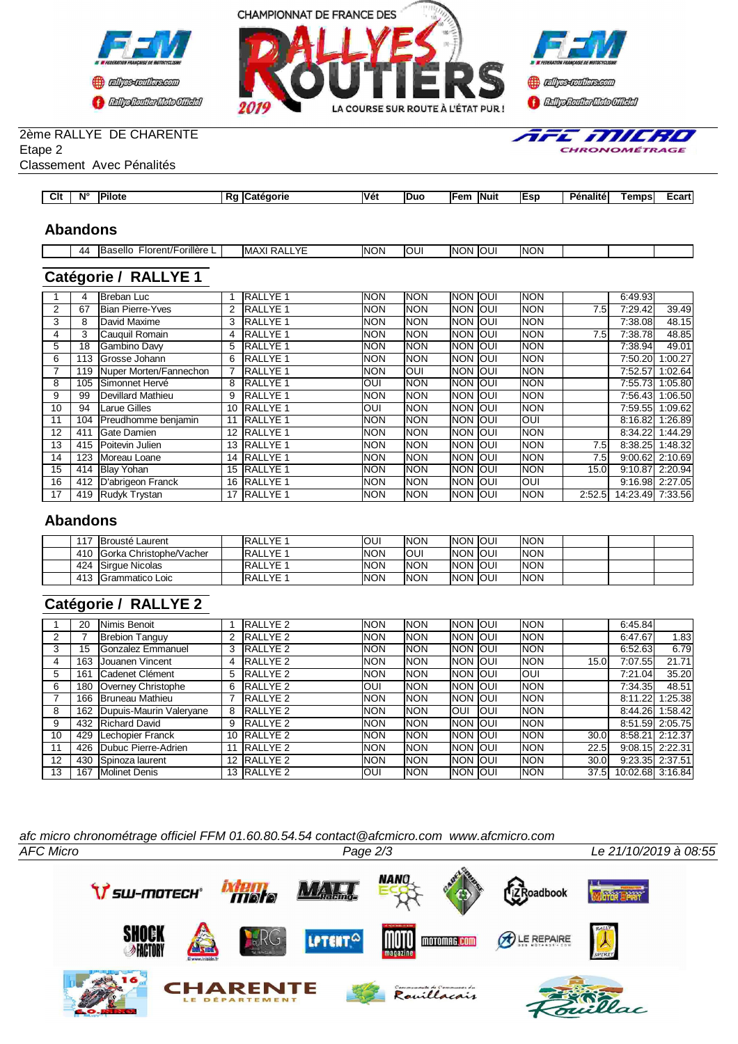





fific Milerio CHRONOMÉTRAGE

### 2ème RALLYE DE CHARENTE

Etape 2

Classement Avec Pénalités

| Clt<br>$-$<br>Véi<br>'Pilote<br><br>$N^{\circ}$<br><b>IDuo</b><br>-<br>ICate<br><b>Fem</b><br>emps<br><b>IESD</b><br><b>Penalité</b><br>.eaorie<br><b>INuit</b><br>.<br><br>. . |  |  |  |  |  |       |
|---------------------------------------------------------------------------------------------------------------------------------------------------------------------------------|--|--|--|--|--|-------|
|                                                                                                                                                                                 |  |  |  |  |  | Ecart |

#### **Abandons**

| 44 | <br>$\cdot$ .<br>iselic<br>Florent/'<br>orillóro<br>тшеге<br>$\ddot{\phantom{0}}$<br>$\cdot$<br>. | $\sim$<br>$\cdot$<br>IMA<br>$\mathbf{v}$<br>৲<br>¬∟ | <b>NON</b> | <b>OUI</b> | <b>INON</b> | lou! | <b>INON</b> |  |  |
|----|---------------------------------------------------------------------------------------------------|-----------------------------------------------------|------------|------------|-------------|------|-------------|--|--|
|    |                                                                                                   |                                                     |            |            |             |      |             |  |  |

# **Catégorie / RALLYE 1**

|    |     | <b>I</b> Breban Luc     |    | <b>RALLYE 1</b>  | <b>NON</b> | <b>NON</b> | Inon Ioui        | <b>INON</b> |        | 6:49.93          |                 |
|----|-----|-------------------------|----|------------------|------------|------------|------------------|-------------|--------|------------------|-----------------|
| 2  | 67  | <b>Bian Pierre-Yves</b> |    | <b>RALLYE 1</b>  | <b>NON</b> | <b>NON</b> | Inon Ioui        | <b>NON</b>  | 7.5    | 7:29.42          | 39.49           |
| 3  | 8   | David Maxime            |    | <b>RALLYE 1</b>  | <b>NON</b> | <b>NON</b> | Inon Ioui        | <b>INON</b> |        | 7:38.08          | 48.15           |
| 4  | 3   | Cauquil Romain          | 4  | <b>RALLYE 1</b>  | <b>NON</b> | <b>NON</b> | Inon Ioui        | <b>NON</b>  | 7.5    | 7:38.78          | 48.85           |
| 5  | 18  | Gambino Davy            | 5  | <b>RALLYE 1</b>  | <b>NON</b> | <b>NON</b> | Inon Ioui        | <b>NON</b>  |        | 7:38.94          | 49.01           |
| 6  | 113 | Grosse Johann           | 6  | <b>RALLYE1</b>   | <b>NON</b> | <b>NON</b> | INON IOUI        | <b>NON</b>  |        | 7:50.20          | 1:00.27         |
|    | 119 | Nuper Morten/Fannechon  |    | <b>RALLYE 1</b>  | <b>NON</b> | <b>OUI</b> | Inon Ioui        | <b>NON</b>  |        | 7:52.57          | 1:02.64         |
| 8  | 105 | Simonnet Hervé          | 8  | <b>RALLYE 1</b>  | OUI        | <b>NON</b> | Inon Ioui        | <b>NON</b>  |        | 7:55.73          | 1:05.80         |
| 9  | 99  | Devillard Mathieu       | 9  | <b>RALLYE 1</b>  | <b>NON</b> | <b>NON</b> | <b>INON OUI</b>  | <b>NON</b>  |        | 7:56.43          | 1:06.50         |
| 10 | 94  | Larue Gilles            | 10 | <b>RALLYE 1</b>  | OUI        | <b>NON</b> | <b>INON IOUI</b> | <b>NON</b>  |        | 7:59.55          | 1:09.62         |
| 11 | 104 | Preudhomme benjamin     | 11 | <b>RALLYE 1</b>  | <b>NON</b> | <b>NON</b> | Inon Ioui        | Ioui        |        | 8:16.82          | 1:26.89         |
| 12 | 411 | <b>IGate Damien</b>     | 12 | <b>RALLYE 1</b>  | <b>NON</b> | <b>NON</b> | Inon Ioui        | <b>NON</b>  |        | 8:34.22          | 1:44.29         |
| 13 | 415 | Poitevin Julien         | 13 | <b>RALLYE 1</b>  | <b>NON</b> | <b>NON</b> | <b>INON IOUI</b> | <b>NON</b>  | 7.5    |                  | 8:38.25 1:48.32 |
| 14 | 123 | <b>IMoreau Loane</b>    | 14 | <b>IRALLYE 1</b> | <b>NON</b> | <b>NON</b> | Inon Ioui        | <b>NON</b>  | 7.5    | 9:00.62          | 2:10.69         |
| 15 | 414 | <b>Blay Yohan</b>       | 15 | <b>RALLYE 1</b>  | <b>NON</b> | <b>NON</b> | <b>INON JOUI</b> | <b>NON</b>  | 15.0I  | 9:10.87          | 2:20.94         |
| 16 | 412 | D'abrigeon Franck       | 16 | <b>RALLYE 1</b>  | <b>NON</b> | <b>NON</b> | <b>INON OUI</b>  | IOUI        |        |                  | 9:16.98 2:27.05 |
| 17 | 419 | Rudyk Trystan           | 17 | <b>RALLYE 1</b>  | <b>NON</b> | <b>NON</b> | Inon Ioui        | <b>NON</b>  | 2:52.5 | 14:23.49 7:33.56 |                 |

#### **Abandons**

| 117 | <b>IBrousté Laurent</b>         | <b>IRALLYE</b>   | <b>OUI</b> | <b>NON</b> | <b>INON IOUI</b> | <b>INON</b> |  |  |
|-----|---------------------------------|------------------|------------|------------|------------------|-------------|--|--|
| 410 | <b>IGorka Christophe/Vacher</b> | <b>IRALLYE 1</b> | <b>NON</b> | IOUI       | <b>INON IOUI</b> | <b>INON</b> |  |  |
| 424 | <b>ISirque Nicolas</b>          | <b>IRALLYE 1</b> | <b>NON</b> | <b>NON</b> | <b>INON IOUI</b> | <b>INON</b> |  |  |
| 413 | IGrammatico Loic                | <b>IRALLYE 1</b> | <b>NON</b> | <b>NON</b> | <b>INON IOUI</b> | <b>INON</b> |  |  |

# **Catégorie / RALLYE 2**

|                | 20  | <b>I</b> Nimis Benoit     |    | RALLYE <sub>2</sub> | <b>NON</b> | <b>NON</b> | Inon Ioui        |      | <b>INON</b> |                   | 6:45.84           |                 |
|----------------|-----|---------------------------|----|---------------------|------------|------------|------------------|------|-------------|-------------------|-------------------|-----------------|
| $\overline{2}$ |     | <b>Brebion Tanguy</b>     | 2  | RALLYE <sub>2</sub> | <b>NON</b> | <b>NON</b> | <b>INON JOUL</b> |      | <b>INON</b> |                   | 6:47.67           | 1.83            |
| 3              | 15  | <b>IGonzalez Emmanuel</b> | 3  | RALLYE <sub>2</sub> | <b>NON</b> | <b>NON</b> | Inon Ioui        |      | <b>INON</b> |                   | 6:52.63           | 6.79            |
| 4              | 163 | Uouanen Vincent           | 4  | RALLYE <sub>2</sub> | <b>NON</b> | <b>NON</b> | <b>INON JOUI</b> |      | <b>INON</b> | 15.0 <sub>l</sub> | 7:07.55           | 21.71           |
| 5              | 161 | Cadenet Clément           | 5. | RALLYE <sub>2</sub> | <b>NON</b> | <b>NON</b> | <b>INON JOUL</b> |      | loui        |                   | 7:21.04           | 35.20           |
| 6              | 180 | Overney Christophe        | 6  | <b>RALLYE 2</b>     | <b>OUI</b> | <b>NON</b> | <b>INON OUT</b>  |      | <b>INON</b> |                   | 7:34.35           | 48.51           |
|                | 166 | <b>Bruneau Mathieu</b>    |    | <b>RALLYE 2</b>     | <b>NON</b> | <b>NON</b> | <b>INON JOUL</b> |      | <b>INON</b> |                   | 8:11.22           | 1:25.38         |
| 8              | 162 | Dupuis-Maurin Valeryane   | 8  | <b>RALLYE 2</b>     | <b>NON</b> | <b>NON</b> | IOUI             | loui | <b>INON</b> |                   | 8:44.26           | 1:58.42         |
| 9              | 432 | <b>Richard David</b>      | 9  | <b>RALLYE 2</b>     | <b>NON</b> | <b>NON</b> | <b>INON JOUL</b> |      | <b>INON</b> |                   |                   | 8:51.59 2:05.75 |
| 10             | 429 | Lechopier Franck          |    | 10 IRALLYE 2        | <b>NON</b> | <b>NON</b> | Inon Ioui        |      | <b>INON</b> | 30.0I             |                   | 8:58.21 2:12.37 |
| 11             | 426 | Dubuc Pierre-Adrien       | 11 | RALLYE <sub>2</sub> | <b>NON</b> | <b>NON</b> | <b>INON JOUL</b> |      | <b>INON</b> | 22.5I             | $9:08.15$ 2:22.31 |                 |
| 12             | 430 | Spinoza laurent           |    | 12 RALLYE 2         | <b>NON</b> | <b>NON</b> | <b>INON JOUL</b> |      | <b>INON</b> | 30.0              |                   | 9:23.35 2:37.51 |
| 13             | 167 | <b>Molinet Denis</b>      |    | 13 RALLYE 2         | OUI        | <b>NON</b> | <b>INON JOUL</b> |      | <b>INON</b> | 37.5              | 10:02.68 3:16.84  |                 |

*afc micro chronométrage officiel FFM 01.60.80.54.54 contact@afcmicro.com www.afcmicro.com*